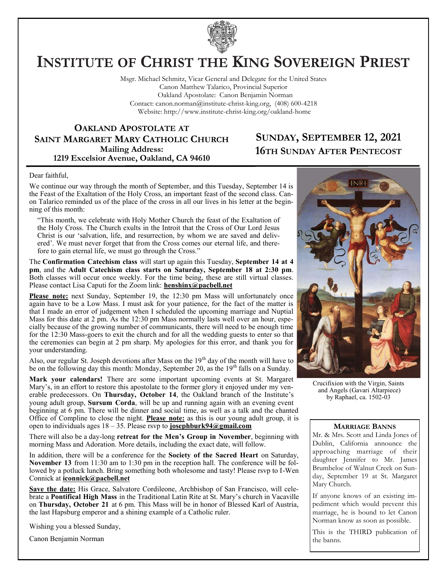

# **INSTITUTE OF CHRIST THE KING SOVEREIGN PRIEST**

Msgr. Michael Schmitz, Vicar General and Delegate for the United States Canon Matthew Talarico, Provincial Superior Oakland Apostolate: Canon Benjamin Norman Contact: canon.norman@institute-christ-king.org, (408) 600-4218 Website: http://www.institute-christ-king.org/oakland-home

### **OAKLAND APOSTOLATE AT SAINT MARGARET MARY CATHOLIC CHURCH Mailing Address: 1219 Excelsior Avenue, Oakland, CA 94610**

## **SUNDAY, SEPTEMBER 12, 2021 16TH SUNDAY AFTER PENTECOST**

#### Dear faithful,

We continue our way through the month of September, and this Tuesday, September 14 is the Feast of the Exaltation of the Holy Cross, an important feast of the second class. Canon Talarico reminded us of the place of the cross in all our lives in his letter at the beginning of this month:

"This month, we celebrate with Holy Mother Church the feast of the Exaltation of the Holy Cross. The Church exults in the Introit that the Cross of Our Lord Jesus Christ is our 'salvation, life, and resurrection, by whom we are saved and delivered'. We must never forget that from the Cross comes our eternal life, and therefore to gain eternal life, we must go through the Cross."

The **Confirmation Catechism class** will start up again this Tuesday, **September 14 at 4 pm**, and the **Adult Catechism class starts on Saturday, September 18 at 2:30 pm**. Both classes will occur once weekly. For the time being, these are still virtual classes. Please contact Lisa Caputi for the Zoom link: **[henshinx@pacbell.net](mailto:henshinx@pacbell.net)**

Please note: next Sunday, September 19, the 12:30 pm Mass will unfortunately once again have to be a Low Mass. I must ask for your patience, for the fact of the matter is that I made an error of judgement when I scheduled the upcoming marriage and Nuptial Mass for this date at 2 pm. As the 12:30 pm Mass normally lasts well over an hour, especially because of the growing number of communicants, there will need to be enough time for the 12:30 Mass-goers to exit the church and for all the wedding guests to enter so that the ceremonies can begin at 2 pm sharp. My apologies for this error, and thank you for your understanding.

Also, our regular St. Joseph devotions after Mass on the  $19<sup>th</sup>$  day of the month will have to be on the following day this month: Monday, September 20, as the  $19<sup>th</sup>$  falls on a Sunday.

**Mark your calendars!** There are some important upcoming events at St. Margaret Mary's, in an effort to restore this apostolate to the former glory it enjoyed under my venerable predecessors. On **Thursday, October 14**, the Oakland branch of the Institute's young adult group, **Sursum Corda**, will be up and running again with an evening event beginning at 6 pm. There will be dinner and social time, as well as a talk and the chanted Office of Compline to close the night. **Please note:** as this is our young adult group, it is open to individuals ages 18 – 35. Please rsvp to **josephburk94@gmail.com**

There will also be a day-long **retreat for the Men's Group in November**, beginning with morning Mass and Adoration. More details, including the exact date, will follow.

In addition, there will be a conference for the **Society of the Sacred Heart** on Saturday, **November 13** from 11:30 am to 1:30 pm in the reception hall. The conference will be followed by a potluck lunch. Bring something both wholesome and tasty! Please rsvp to I-Wen Connick at **[iconnick@pacbell.net](mailto:iconnick@pacbell.net)**

**Save the date:** His Grace, Salvatore Cordileone, Archbishop of San Francisco, will celebrate a **Pontifical High Mass** in the Traditional Latin Rite at St. Mary's church in Vacaville on **Thursday, October 21** at 6 pm. This Mass will be in honor of Blessed Karl of Austria, the last Hapsburg emperor and a shining example of a Catholic ruler.

Wishing you a blessed Sunday,

Canon Benjamin Norman



Crucifixion with the Virgin, Saints and Angels (Gavari Altarpiece) by Raphael, ca. 1502-03

#### **MARRIAGE BANNS**

Mr. & Mrs. Scott and Linda Jones of Dublin, California announce the approaching marriage of their daughter Jennifer to Mr. James Brumbeloe of Walnut Creek on Sunday, September 19 at St. Margaret Mary Church.

If anyone knows of an existing impediment which would prevent this marriage, he is bound to let Canon Norman know as soon as possible.

This is the THIRD publication of the banns.